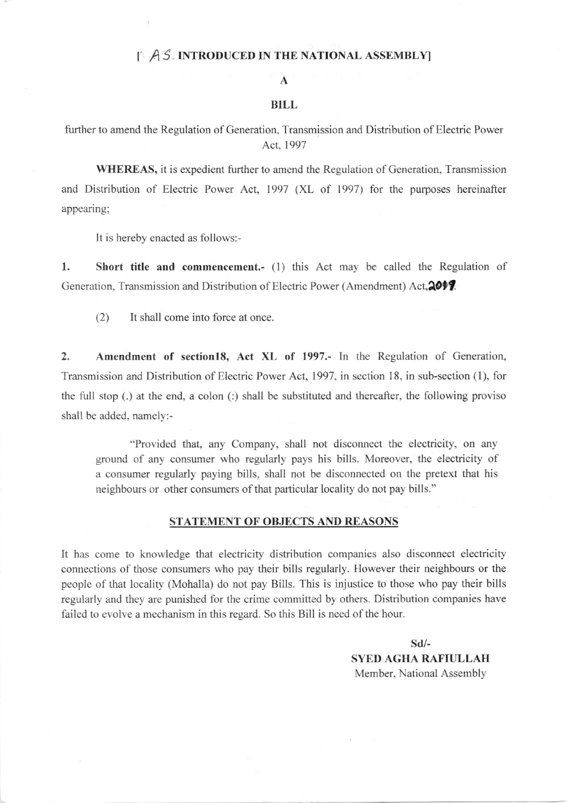## I A S. INTRODUCED IN THE NATIONAL ASSEMBLY

#### A

### BILL

further to amend the Regulation of Generation. Transmission and Distribution of Electric Power Act,1997

WHEREAS, it is expedient further to amend the Regulation of Generation, Transmission and Distribution of Electric Power Act, 1997 (XL of 1997) for the purposes hereinafter appearing;

It is hereby enacted as follows:-

1. Short title and commencement.- (1) this Act may be called the Regulation of Generation, Transmission and Distribution of Electric Power (Amendment) Act, 2017.

(2) It shall come into force at once.

2. Amendment of section18, Act XL of 1997.- In the Regulation of Generation, Transmission and Distribution of Electric Power Act, 1997, in section 18, in sub-section (1), for the full stop (.) at the end, a colon (:) shall be substituted and thereafter, the following proviso shall be added. namely:-

"Provided that, any Company, shall not disconnect the electricity, on any ground of any consuner who regularly pays his bills. Moreover, the electricity of a consumer regularly paying bills, shall not be disconnected on the pretext that his neighbours or other consumers of that particular locality do not pay bills."

### STATEMENT OF OBJECTS AND REASONS

It has come to knowledge that electricity distribution companies also disconnect electricity connections of those consurners who pay their bills regularly. Ilowever their neighbours or the people of that locality (Mohalla) do not pay Bills. This is injustice to those who pay their bills regularly and they are punished for the crime committed by others. Distribution companies have failed to evolve a mechanism in this regard. So this Bill is need of the hour.

> sd/- SYED AGHA RAFIULLAH Member, National Assembly